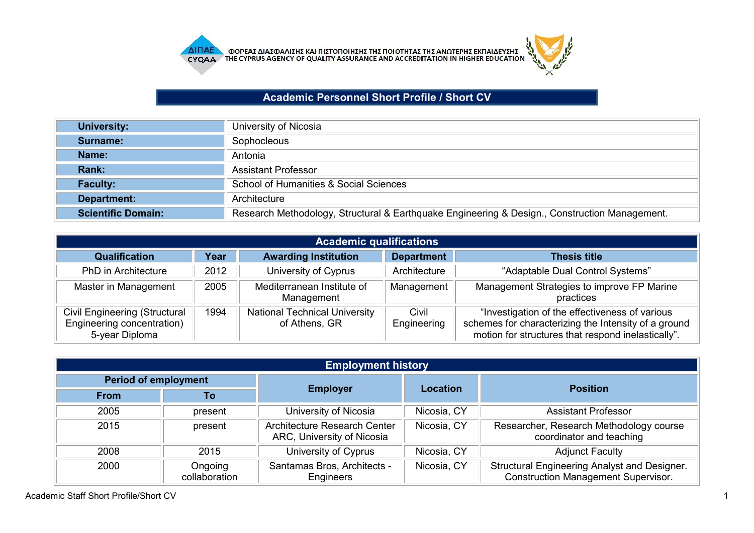

## **Academic Personnel Short Profile / Short CV**

| <b>University:</b>        | University of Nicosia                                                                         |
|---------------------------|-----------------------------------------------------------------------------------------------|
| Surname:                  | Sophocleous                                                                                   |
| Name:                     | Antonia                                                                                       |
| Rank:                     | <b>Assistant Professor</b>                                                                    |
| <b>Faculty:</b>           | School of Humanities & Social Sciences                                                        |
| Department:               | Architecture                                                                                  |
| <b>Scientific Domain:</b> | Research Methodology, Structural & Earthquake Engineering & Design., Construction Management. |

| <b>Academic qualifications</b>                                                       |      |                                                       |                      |                                                                                                                                                              |  |
|--------------------------------------------------------------------------------------|------|-------------------------------------------------------|----------------------|--------------------------------------------------------------------------------------------------------------------------------------------------------------|--|
| <b>Qualification</b>                                                                 | Year | <b>Awarding Institution</b>                           | <b>Department</b>    | <b>Thesis title</b>                                                                                                                                          |  |
| <b>PhD</b> in Architecture                                                           | 2012 | University of Cyprus                                  | Architecture         | "Adaptable Dual Control Systems"                                                                                                                             |  |
| Master in Management                                                                 | 2005 | Mediterranean Institute of<br>Management              | Management           | Management Strategies to improve FP Marine<br>practices                                                                                                      |  |
| <b>Civil Engineering (Structural</b><br>Engineering concentration)<br>5-year Diploma | 1994 | <b>National Technical University</b><br>of Athens, GR | Civil<br>Engineering | "Investigation of the effectiveness of various<br>schemes for characterizing the Intensity of a ground<br>motion for structures that respond inelastically". |  |

|                             | <b>Employment history</b> |                                                                   |                 |                                                                                            |  |  |
|-----------------------------|---------------------------|-------------------------------------------------------------------|-----------------|--------------------------------------------------------------------------------------------|--|--|
| <b>Period of employment</b> |                           | <b>Employer</b>                                                   | <b>Location</b> | <b>Position</b>                                                                            |  |  |
| <b>From</b>                 | Τo                        |                                                                   |                 |                                                                                            |  |  |
| 2005                        | present                   | University of Nicosia                                             | Nicosia, CY     | <b>Assistant Professor</b>                                                                 |  |  |
| 2015                        | present                   | <b>Architecture Research Center</b><br>ARC, University of Nicosia | Nicosia, CY     | Researcher, Research Methodology course<br>coordinator and teaching                        |  |  |
| 2008                        | 2015                      | University of Cyprus                                              | Nicosia, CY     | <b>Adjunct Faculty</b>                                                                     |  |  |
| 2000                        | Ongoing<br>collaboration  | Santamas Bros, Architects -<br>Engineers                          | Nicosia, CY     | Structural Engineering Analyst and Designer.<br><b>Construction Management Supervisor.</b> |  |  |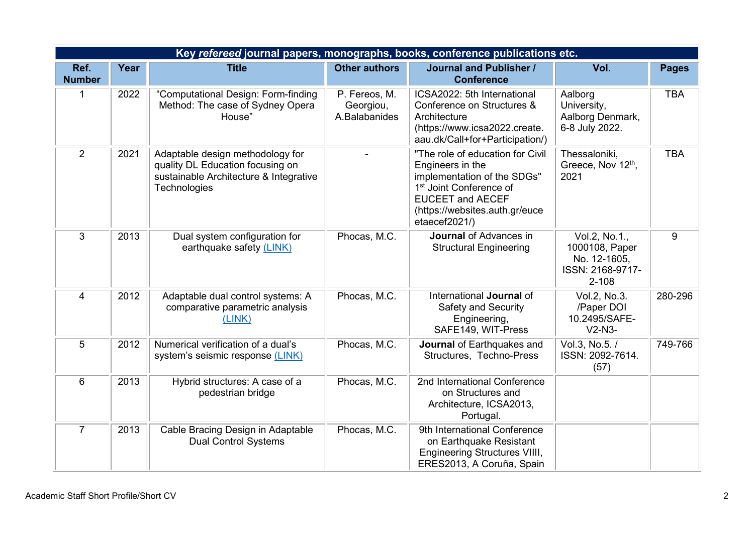|                       | Key refereed journal papers, monographs, books, conference publications etc. |                                                                                                                                |                                             |                                                                                                                                                                                                          |                                                                                  |              |  |
|-----------------------|------------------------------------------------------------------------------|--------------------------------------------------------------------------------------------------------------------------------|---------------------------------------------|----------------------------------------------------------------------------------------------------------------------------------------------------------------------------------------------------------|----------------------------------------------------------------------------------|--------------|--|
| Ref.<br><b>Number</b> | Year                                                                         | <b>Title</b>                                                                                                                   | <b>Other authors</b>                        | <b>Journal and Publisher /</b><br><b>Conference</b>                                                                                                                                                      | Vol.                                                                             | <b>Pages</b> |  |
| $\mathbf 1$           | 2022                                                                         | "Computational Design: Form-finding<br>Method: The case of Sydney Opera<br>House"                                              | P. Fereos, M.<br>Georgiou,<br>A.Balabanides | ICSA2022: 5th International<br>Conference on Structures &<br>Architecture<br>(https://www.icsa2022.create.<br>aau.dk/Call+for+Participation/)                                                            | Aalborg<br>University,<br>Aalborg Denmark,<br>6-8 July 2022.                     | <b>TBA</b>   |  |
| $\overline{2}$        | 2021                                                                         | Adaptable design methodology for<br>quality DL Education focusing on<br>sustainable Architecture & Integrative<br>Technologies |                                             | "The role of education for Civil<br>Engineers in the<br>implementation of the SDGs"<br>1 <sup>st</sup> Joint Conference of<br><b>EUCEET and AECEF</b><br>(https://websites.auth.gr/euce<br>etaecef2021/) | Thessaloniki,<br>Greece, Nov 12th,<br>2021                                       | <b>TBA</b>   |  |
| 3                     | 2013                                                                         | Dual system configuration for<br>earthquake safety (LINK)                                                                      | Phocas, M.C.                                | <b>Journal of Advances in</b><br><b>Structural Engineering</b>                                                                                                                                           | Vol.2, No.1.,<br>1000108, Paper<br>No. 12-1605,<br>ISSN: 2168-9717-<br>$2 - 108$ | 9            |  |
| $\overline{4}$        | 2012                                                                         | Adaptable dual control systems: A<br>comparative parametric analysis<br>(LINK)                                                 | Phocas, M.C.                                | International Journal of<br><b>Safety and Security</b><br>Engineering,<br>SAFE149, WIT-Press                                                                                                             | Vol.2, No.3.<br>/Paper DOI<br>10.2495/SAFE-<br>$V2-N3-$                          | 280-296      |  |
| 5                     | 2012                                                                         | Numerical verification of a dual's<br>system's seismic response (LINK)                                                         | Phocas, M.C.                                | Journal of Earthquakes and<br>Structures, Techno-Press                                                                                                                                                   | Vol.3, No.5. /<br>ISSN: 2092-7614.<br>(57)                                       | 749-766      |  |
| $6\phantom{1}$        | 2013                                                                         | Hybrid structures: A case of a<br>pedestrian bridge                                                                            | Phocas, M.C.                                | 2nd International Conference<br>on Structures and<br>Architecture, ICSA2013,<br>Portugal.                                                                                                                |                                                                                  |              |  |
| $\overline{7}$        | 2013                                                                         | Cable Bracing Design in Adaptable<br><b>Dual Control Systems</b>                                                               | Phocas, M.C.                                | 9th International Conference<br>on Earthquake Resistant<br><b>Engineering Structures VIIII,</b><br>ERES2013, A Coruña, Spain                                                                             |                                                                                  |              |  |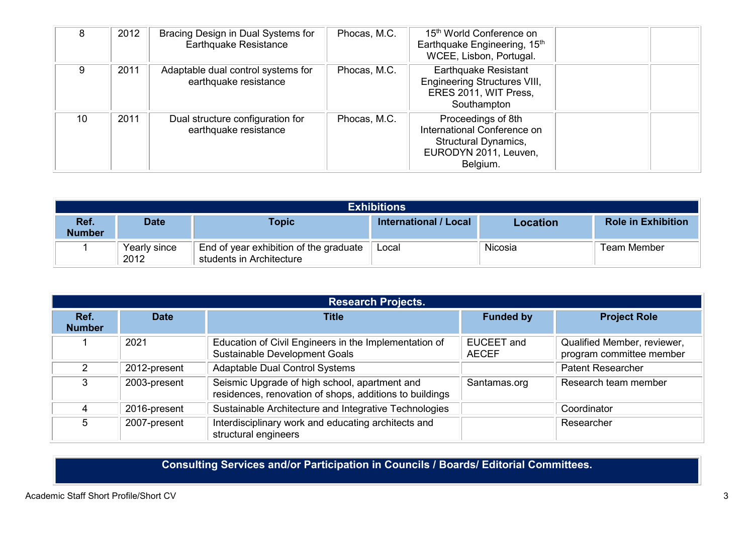| 8  | 2012 | Bracing Design in Dual Systems for<br><b>Earthquake Resistance</b> | Phocas, M.C. | 15 <sup>th</sup> World Conference on<br>Earthquake Engineering, 15th<br>WCEE, Lisbon, Portugal.                       |  |
|----|------|--------------------------------------------------------------------|--------------|-----------------------------------------------------------------------------------------------------------------------|--|
| 9  | 2011 | Adaptable dual control systems for<br>earthquake resistance        | Phocas, M.C. | <b>Earthquake Resistant</b><br><b>Engineering Structures VIII,</b><br>ERES 2011, WIT Press,<br>Southampton            |  |
| 10 | 2011 | Dual structure configuration for<br>earthquake resistance          | Phocas, M.C. | Proceedings of 8th<br>International Conference on<br><b>Structural Dynamics,</b><br>EURODYN 2011, Leuven,<br>Belgium. |  |

|                       | <b>Exhibitions</b>   |                                                                    |                       |          |                           |  |
|-----------------------|----------------------|--------------------------------------------------------------------|-----------------------|----------|---------------------------|--|
| Ref.<br><b>Number</b> | Date                 | <b>Topic</b>                                                       | International / Local | Location | <b>Role in Exhibition</b> |  |
|                       | Yearly since<br>2012 | End of year exhibition of the graduate<br>students in Architecture | Local                 | Nicosia  | Team Member               |  |

|                       | <b>Research Projects.</b> |                                                                                                          |                            |                                                         |  |  |
|-----------------------|---------------------------|----------------------------------------------------------------------------------------------------------|----------------------------|---------------------------------------------------------|--|--|
| Ref.<br><b>Number</b> | <b>Date</b>               | Title                                                                                                    | <b>Funded by</b>           | <b>Project Role</b>                                     |  |  |
|                       | 2021                      | Education of Civil Engineers in the Implementation of<br>Sustainable Development Goals                   | EUCEET and<br><b>AECEF</b> | Qualified Member, reviewer,<br>program committee member |  |  |
|                       | 2012-present              | <b>Adaptable Dual Control Systems</b>                                                                    |                            | <b>Patent Researcher</b>                                |  |  |
| 3                     | 2003-present              | Seismic Upgrade of high school, apartment and<br>residences, renovation of shops, additions to buildings | Santamas.org               | Research team member                                    |  |  |
|                       | 2016-present              | Sustainable Architecture and Integrative Technologies                                                    |                            | Coordinator                                             |  |  |
| 5.                    | 2007-present              | Interdisciplinary work and educating architects and<br>structural engineers                              |                            | Researcher                                              |  |  |

**Consulting Services and/or Participation in Councils / Boards/ Editorial Committees.**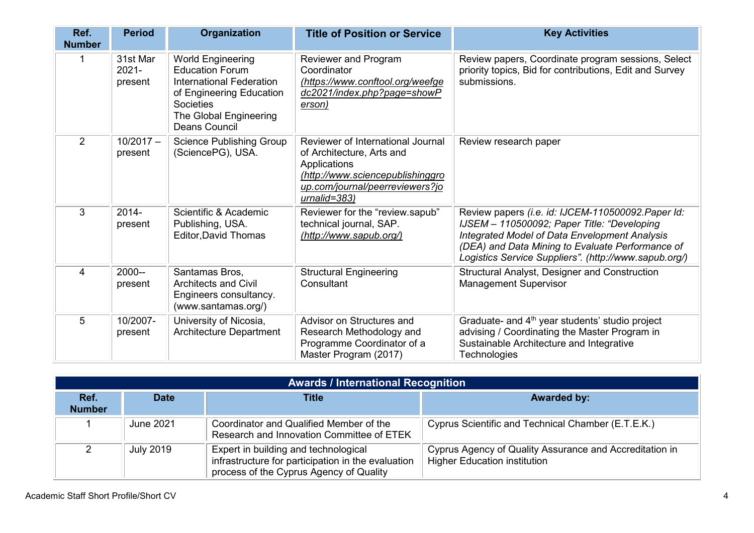| Ref.<br><b>Number</b>   | <b>Period</b>                   | Organization                                                                                                                                                                            | <b>Title of Position or Service</b>                                                                                                                                      | <b>Key Activities</b>                                                                                                                                                                                                                                                  |
|-------------------------|---------------------------------|-----------------------------------------------------------------------------------------------------------------------------------------------------------------------------------------|--------------------------------------------------------------------------------------------------------------------------------------------------------------------------|------------------------------------------------------------------------------------------------------------------------------------------------------------------------------------------------------------------------------------------------------------------------|
|                         | 31st Mar<br>$2021 -$<br>present | <b>World Engineering</b><br><b>Education Forum</b><br><b>International Federation</b><br>of Engineering Education<br><b>Societies</b><br>The Global Engineering<br><b>Deans Council</b> | Reviewer and Program<br>Coordinator<br>(https://www.conftool.org/weefge<br>dc2021/index.php?page=showP<br>erson)                                                         | Review papers, Coordinate program sessions, Select<br>priority topics, Bid for contributions, Edit and Survey<br>submissions.                                                                                                                                          |
| $\overline{2}$          | $10/2017 -$<br>present          | <b>Science Publishing Group</b><br>(SciencePG), USA.                                                                                                                                    | Reviewer of International Journal<br>of Architecture, Arts and<br>Applications<br>(http://www.sciencepublishinggro<br>up.com/journal/peerreviewers?jo<br>$urnalid = 383$ | Review research paper                                                                                                                                                                                                                                                  |
| 3                       | 2014-<br>present                | Scientific & Academic<br>Publishing, USA.<br><b>Editor, David Thomas</b>                                                                                                                | Reviewer for the "review.sapub"<br>technical journal, SAP.<br>(http://www.sapub.org/)                                                                                    | Review papers (i.e. id: IJCEM-110500092. Paper Id:<br>IJSEM - 110500092; Paper Title: "Developing<br><b>Integrated Model of Data Envelopment Analysis</b><br>(DEA) and Data Mining to Evaluate Performance of<br>Logistics Service Suppliers". (http://www.sapub.org/) |
| $\overline{\mathbf{4}}$ | $2000 -$<br>present             | Santamas Bros,<br><b>Architects and Civil</b><br>Engineers consultancy.<br>(www.santamas.org/)                                                                                          | <b>Structural Engineering</b><br>Consultant                                                                                                                              | Structural Analyst, Designer and Construction<br><b>Management Supervisor</b>                                                                                                                                                                                          |
| 5                       | 10/2007-<br>present             | University of Nicosia,<br><b>Architecture Department</b>                                                                                                                                | Advisor on Structures and<br>Research Methodology and<br>Programme Coordinator of a<br>Master Program (2017)                                                             | Graduate- and 4 <sup>th</sup> year students' studio project<br>advising / Coordinating the Master Program in<br>Sustainable Architecture and Integrative<br><b>Technologies</b>                                                                                        |

|                       | <b>Awards / International Recognition</b> |                                                                                                                                       |                                                                                                |  |  |  |
|-----------------------|-------------------------------------------|---------------------------------------------------------------------------------------------------------------------------------------|------------------------------------------------------------------------------------------------|--|--|--|
| Ref.<br><b>Number</b> | <b>Date</b>                               | Title                                                                                                                                 | <b>Awarded by:</b>                                                                             |  |  |  |
|                       | June 2021                                 | Coordinator and Qualified Member of the<br>Research and Innovation Committee of ETEK                                                  | Cyprus Scientific and Technical Chamber (E.T.E.K.)                                             |  |  |  |
|                       | <b>July 2019</b>                          | Expert in building and technological<br>infrastructure for participation in the evaluation<br>process of the Cyprus Agency of Quality | Cyprus Agency of Quality Assurance and Accreditation in<br><b>Higher Education institution</b> |  |  |  |